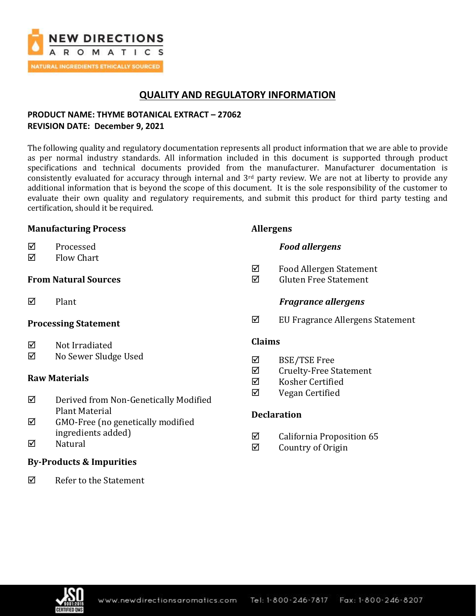

# **QUALITY AND REGULATORY INFORMATION**

## **PRODUCT NAME: THYME BOTANICAL EXTRACT – 27062 REVISION DATE: December 9, 2021**

The following quality and regulatory documentation represents all product information that we are able to provide as per normal industry standards. All information included in this document is supported through product specifications and technical documents provided from the manufacturer. Manufacturer documentation is consistently evaluated for accuracy through internal and  $3<sup>rd</sup>$  party review. We are not at liberty to provide any additional information that is beyond the scope of this document. It is the sole responsibility of the customer to evaluate their own quality and regulatory requirements, and submit this product for third party testing and certification, should it be required.

### **Manufacturing Process**

- **☑** Processed
- $\boxtimes$  Flow Chart

## **From Natural Sources**

 $\nabla$  Plant

## **Processing Statement**

- $\boxtimes$  Not Irradiated
- No Sewer Sludge Used

## **Raw Materials**

- Derived from Non-Genetically Modified Plant Material
- $\boxtimes$  GMO-Free (no genetically modified ingredients added)
- $\nabla$  Natural

## **By-Products & Impurities**

 $\overline{M}$  Refer to the Statement

### **Allergens**

- *Food allergens*
- $\boxtimes$  Food Allergen Statement
- Gluten Free Statement

### *Fragrance allergens*

EU Fragrance Allergens Statement

### **Claims**

- BSE/TSE Free
- $\boxtimes$  Cruelty-Free Statement
- Kosher Certified
- $\boxtimes$  Vegan Certified

## **Declaration**

- $\boxtimes$  California Proposition 65
- $\boxtimes$  Country of Origin

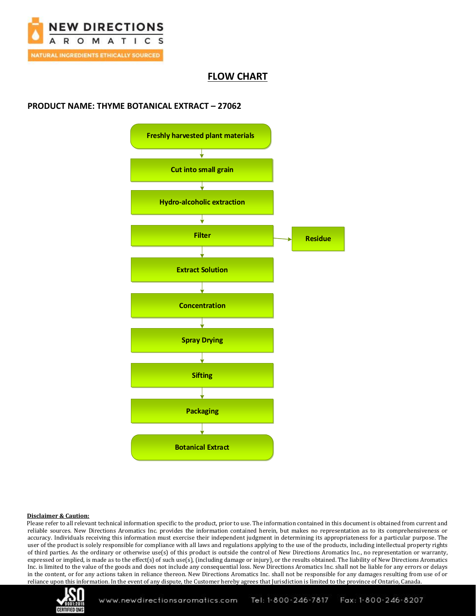

## **FLOW CHART**

### **PRODUCT NAME: THYME BOTANICAL EXTRACT – 27062**



#### **Disclaimer & Caution:**

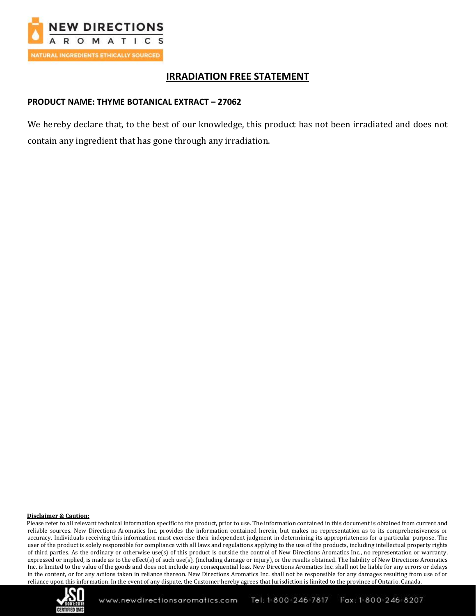

# **IRRADIATION FREE STATEMENT**

### **PRODUCT NAME: THYME BOTANICAL EXTRACT – 27062**

We hereby declare that, to the best of our knowledge, this product has not been irradiated and does not contain any ingredient that has gone through any irradiation.

#### **Disclaimer & Caution:**

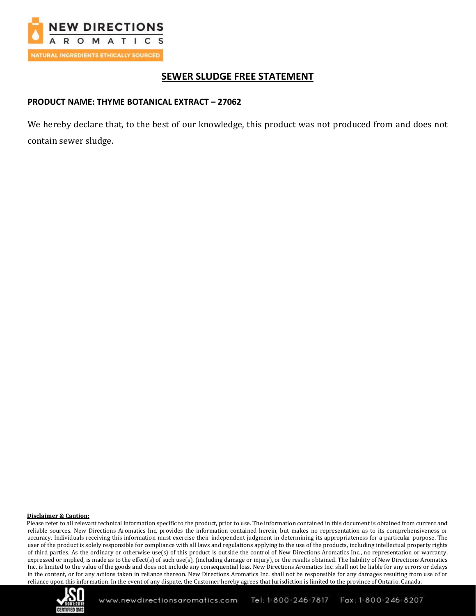

# **SEWER SLUDGE FREE STATEMENT**

### **PRODUCT NAME: THYME BOTANICAL EXTRACT – 27062**

We hereby declare that, to the best of our knowledge, this product was not produced from and does not contain sewer sludge.

#### **Disclaimer & Caution:**

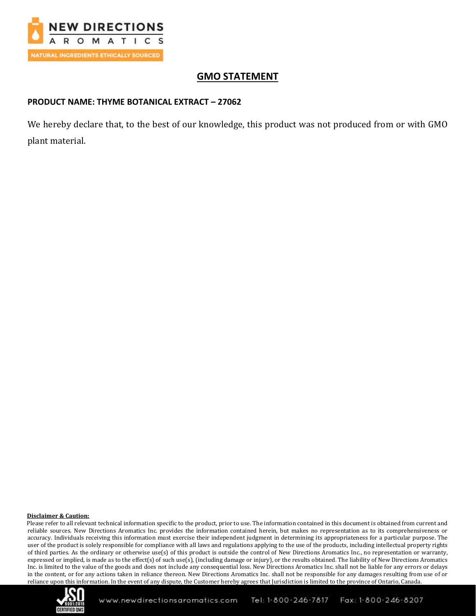

# **GMO STATEMENT**

### **PRODUCT NAME: THYME BOTANICAL EXTRACT – 27062**

We hereby declare that, to the best of our knowledge, this product was not produced from or with GMO plant material.

#### **Disclaimer & Caution:**

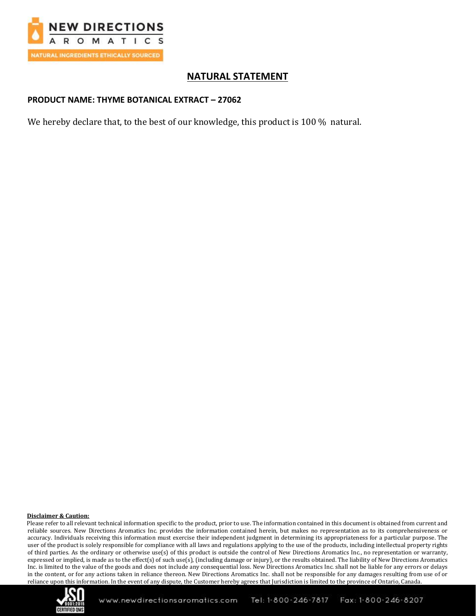

# **NATURAL STATEMENT**

### **PRODUCT NAME: THYME BOTANICAL EXTRACT – 27062**

We hereby declare that, to the best of our knowledge, this product is 100 % natural.

#### **Disclaimer & Caution:**

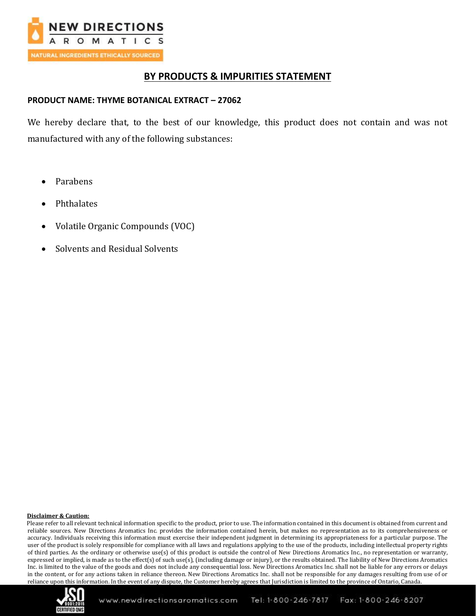

## **BY PRODUCTS & IMPURITIES STATEMENT**

### **PRODUCT NAME: THYME BOTANICAL EXTRACT – 27062**

We hereby declare that, to the best of our knowledge, this product does not contain and was not manufactured with any of the following substances:

- Parabens
- **Phthalates**
- Volatile Organic Compounds (VOC)
- Solvents and Residual Solvents

#### **Disclaimer & Caution:**

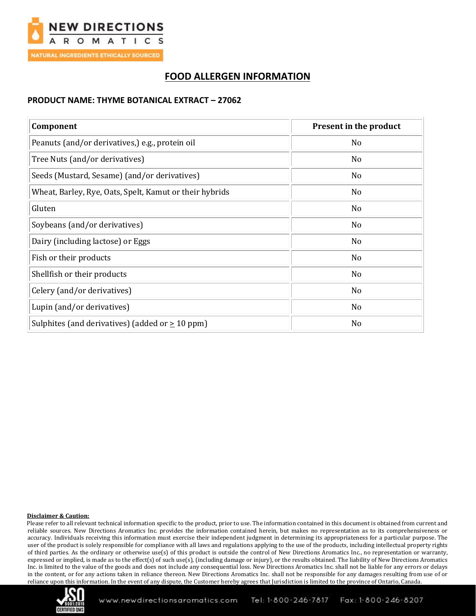

# **FOOD ALLERGEN INFORMATION**

### **PRODUCT NAME: THYME BOTANICAL EXTRACT – 27062**

| Component                                               | <b>Present in the product</b> |
|---------------------------------------------------------|-------------------------------|
| Peanuts (and/or derivatives,) e.g., protein oil         | N <sub>o</sub>                |
| Tree Nuts (and/or derivatives)                          | N <sub>0</sub>                |
| Seeds (Mustard, Sesame) (and/or derivatives)            | N <sub>o</sub>                |
| Wheat, Barley, Rye, Oats, Spelt, Kamut or their hybrids | No                            |
| Gluten                                                  | N <sub>o</sub>                |
| Soybeans (and/or derivatives)                           | No                            |
| Dairy (including lactose) or Eggs                       | No                            |
| Fish or their products                                  | No                            |
| Shellfish or their products                             | No                            |
| Celery (and/or derivatives)                             | N <sub>o</sub>                |
| Lupin (and/or derivatives)                              | No                            |
| Sulphites (and derivatives) (added or $\geq 10$ ppm)    | No                            |

#### **Disclaimer & Caution:**

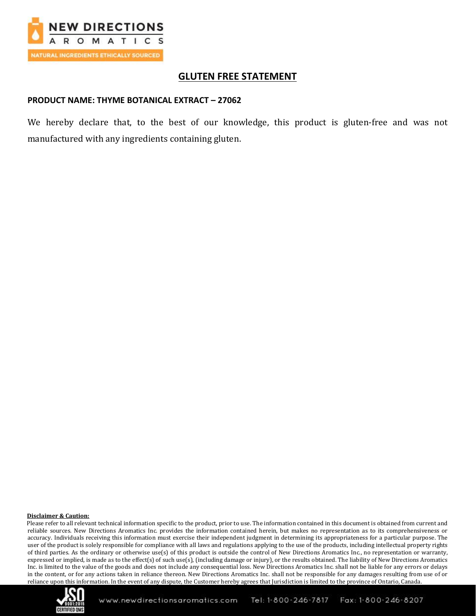

## **GLUTEN FREE STATEMENT**

#### **PRODUCT NAME: THYME BOTANICAL EXTRACT – 27062**

We hereby declare that, to the best of our knowledge, this product is gluten-free and was not manufactured with any ingredients containing gluten.

#### **Disclaimer & Caution:**

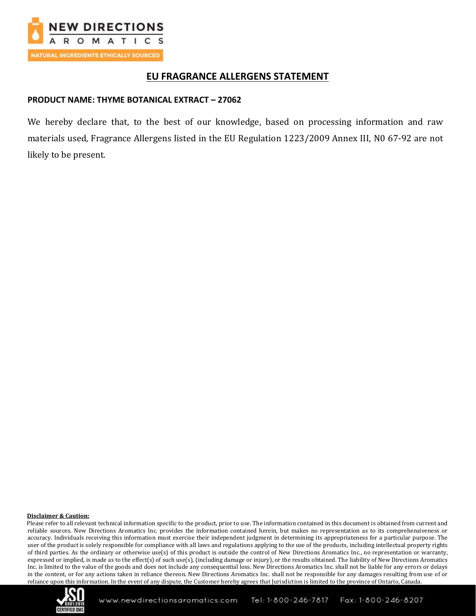

## **EU FRAGRANCE ALLERGENS STATEMENT**

### **PRODUCT NAME: THYME BOTANICAL EXTRACT – 27062**

We hereby declare that, to the best of our knowledge, based on processing information and raw materials used, Fragrance Allergens listed in the EU Regulation 1223/2009 Annex III, N0 67-92 are not likely to be present.

#### **Disclaimer & Caution:**

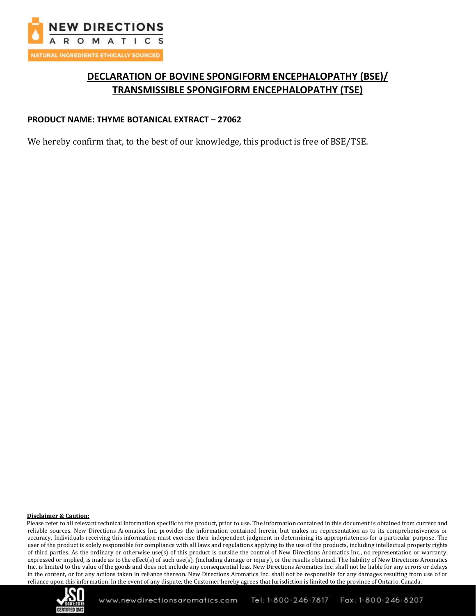

# **DECLARATION OF BOVINE SPONGIFORM ENCEPHALOPATHY (BSE)/ TRANSMISSIBLE SPONGIFORM ENCEPHALOPATHY (TSE)**

### **PRODUCT NAME: THYME BOTANICAL EXTRACT – 27062**

We hereby confirm that, to the best of our knowledge, this product is free of BSE/TSE.

#### **Disclaimer & Caution:**

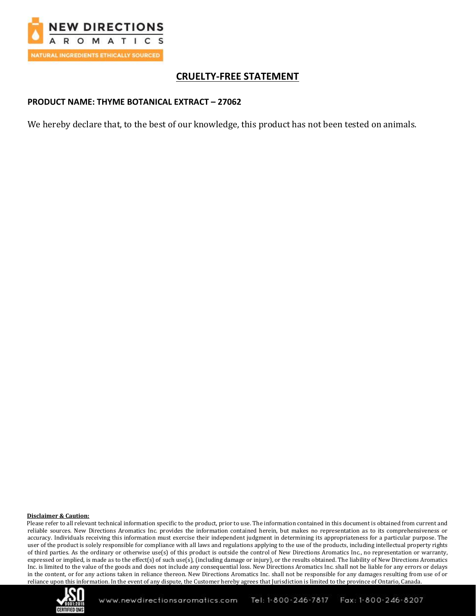

# **CRUELTY-FREE STATEMENT**

### **PRODUCT NAME: THYME BOTANICAL EXTRACT – 27062**

We hereby declare that, to the best of our knowledge, this product has not been tested on animals.

#### **Disclaimer & Caution:**

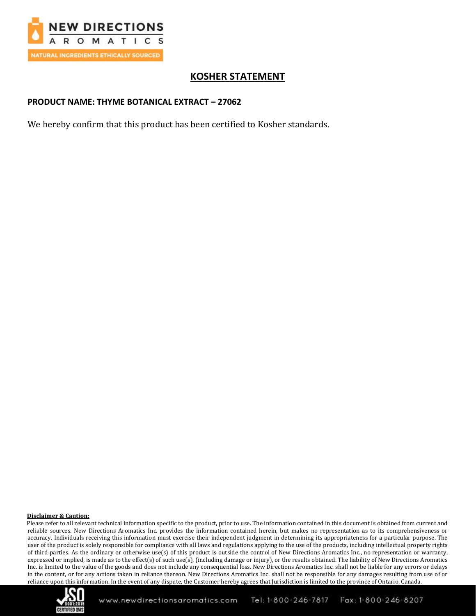

# **KOSHER STATEMENT**

### **PRODUCT NAME: THYME BOTANICAL EXTRACT – 27062**

We hereby confirm that this product has been certified to Kosher standards.

#### **Disclaimer & Caution:**

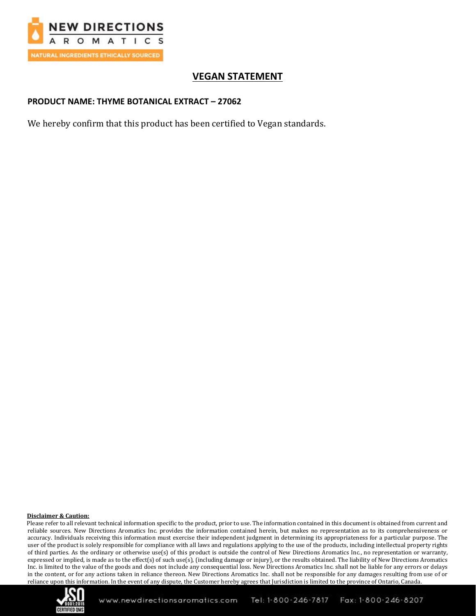

# **VEGAN STATEMENT**

### **PRODUCT NAME: THYME BOTANICAL EXTRACT – 27062**

We hereby confirm that this product has been certified to Vegan standards.

#### **Disclaimer & Caution:**

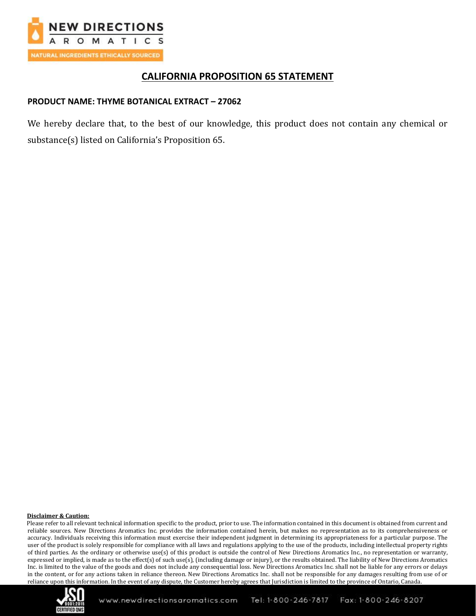

# **CALIFORNIA PROPOSITION 65 STATEMENT**

### **PRODUCT NAME: THYME BOTANICAL EXTRACT – 27062**

We hereby declare that, to the best of our knowledge, this product does not contain any chemical or substance(s) listed on California's Proposition 65.

#### **Disclaimer & Caution:**